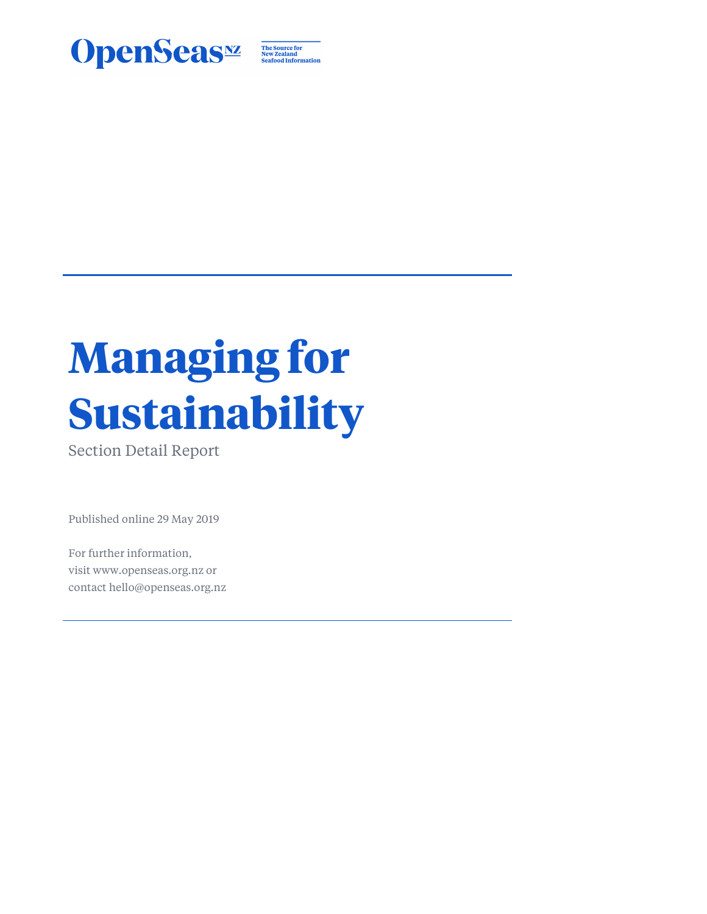

The Source for<br>New Zealand<br>Seafood Information

# **Managing for Sustainability**

Section Detail Report

Published online 29 May 2019

For further information, visit www.openseas.org.nz or contact hello@openseas.org.nz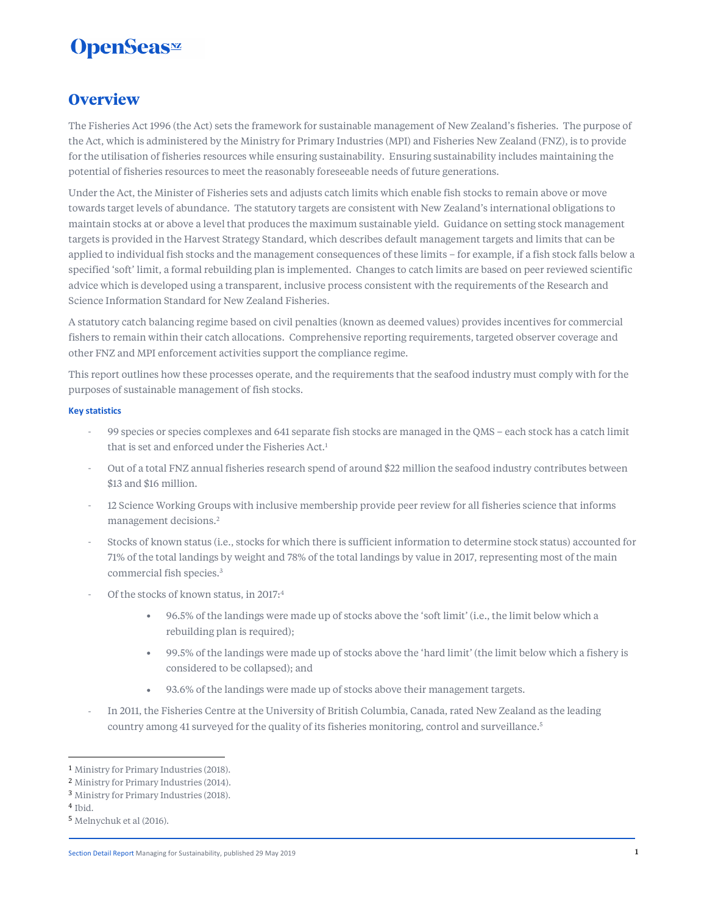### **Overview**

The Fisheries Act 1996 (the Act) sets the framework for sustainable management of New Zealand's fisheries. The purpose of the Act, which is administered by the Ministry for Primary Industries (MPI) and Fisheries New Zealand (FNZ), is to provide for the utilisation of fisheries resources while ensuring sustainability. Ensuring sustainability includes maintaining the potential of fisheries resources to meet the reasonably foreseeable needs of future generations.

Under the Act, the Minister of Fisheries sets and adjusts catch limits which enable fish stocks to remain above or move towards target levels of abundance. The statutory targets are consistent with New Zealand's international obligations to maintain stocks at or above a level that produces the maximum sustainable yield. Guidance on setting stock management targets is provided in the Harvest Strategy Standard, which describes default management targets and limits that can be applied to individual fish stocks and the management consequences of these limits – for example, if a fish stock falls below a specified 'soft' limit, a formal rebuilding plan is implemented. Changes to catch limits are based on peer reviewed scientific advice which is developed using a transparent, inclusive process consistent with the requirements of the Research and Science Information Standard for New Zealand Fisheries.

A statutory catch balancing regime based on civil penalties (known as deemed values) provides incentives for commercial fishers to remain within their catch allocations. Comprehensive reporting requirements, targeted observer coverage and other FNZ and MPI enforcement activities support the compliance regime.

This report outlines how these processes operate, and the requirements that the seafood industry must comply with for the purposes of sustainable management of fish stocks.

#### **Key statistics**

- 99 species or species complexes and 641 separate fish stocks are managed in the QMS each stock has a catch limit that is set and enforced under the Fisheries Act.<sup>1</sup>
- Out of a total FNZ annual fisheries research spend of around \$22 million the seafood industry contributes between \$13 and \$16 million.
- 12 Science Working Groups with inclusive membership provide peer review for all fisheries science that informs management decisions.<sup>2</sup>
- Stocks of known status (i.e., stocks for which there is sufficient information to determine stock status) accounted for 71% of the total landings by weight and 78% of the total landings by value in 2017, representing most of the main commercial fish species.<sup>3</sup>
- Of the stocks of known status, in 2017:4
	- 96.5% of the landings were made up of stocks above the 'soft limit' (i.e., the limit below which a rebuilding plan is required);
	- 99.5% of the landings were made up of stocks above the 'hard limit' (the limit below which a fishery is considered to be collapsed); and
	- 93.6% of the landings were made up of stocks above their management targets.
- In 2011, the Fisheries Centre at the University of British Columbia, Canada, rated New Zealand as the leading country among 41 surveyed for the quality of its fisheries monitoring, control and surveillance.<sup>5</sup>

<sup>1</sup> Ministry for Primary Industries (2018).

<sup>2</sup> Ministry for Primary Industries (2014).

<sup>3</sup> Ministry for Primary Industries (2018).

<sup>4</sup> Ibid.

<sup>5</sup> Melnychuk et al (2016).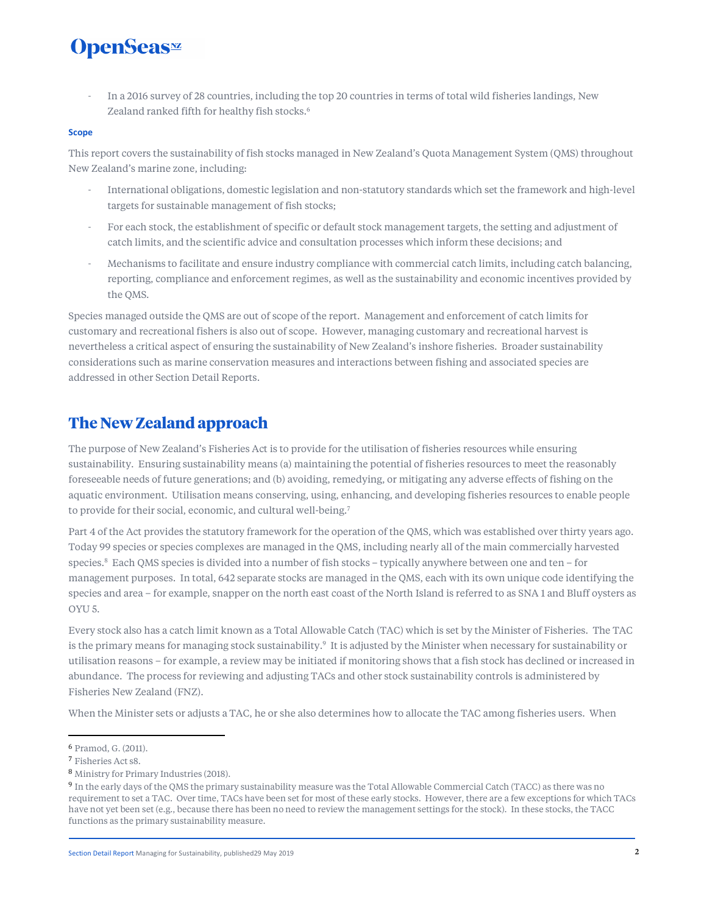- In a 2016 survey of 28 countries, including the top 20 countries in terms of total wild fisheries landings, New Zealand ranked fifth for healthy fish stocks.<sup>6</sup>

#### **Scope**

This report covers the sustainability of fish stocks managed in New Zealand's Quota Management System (QMS) throughout New Zealand's marine zone, including:

- International obligations, domestic legislation and non-statutory standards which set the framework and high-level targets for sustainable management of fish stocks;
- For each stock, the establishment of specific or default stock management targets, the setting and adjustment of catch limits, and the scientific advice and consultation processes which inform these decisions; and
- Mechanisms to facilitate and ensure industry compliance with commercial catch limits, including catch balancing, reporting, compliance and enforcement regimes, as well as the sustainability and economic incentives provided by the QMS.

Species managed outside the QMS are out of scope of the report. Management and enforcement of catch limits for customary and recreational fishers is also out of scope. However, managing customary and recreational harvest is nevertheless a critical aspect of ensuring the sustainability of New Zealand's inshore fisheries. Broader sustainability considerations such as marine conservation measures and interactions between fishing and associated species are addressed in other Section Detail Reports.

### **The New Zealand approach**

The purpose of New Zealand's Fisheries Act is to provide for the utilisation of fisheries resources while ensuring sustainability. Ensuring sustainability means (a) maintaining the potential of fisheries resources to meet the reasonably foreseeable needs of future generations; and (b) avoiding, remedying, or mitigating any adverse effects of fishing on the aquatic environment. Utilisation means conserving, using, enhancing, and developing fisheries resources to enable people to provide for their social, economic, and cultural well-being.<sup>7</sup>

Part 4 of the Act provides the statutory framework for the operation of the QMS, which was established over thirty years ago. Today 99 species or species complexes are managed in the QMS, including nearly all of the main commercially harvested species.<sup>8</sup> Each QMS species is divided into a number of fish stocks – typically anywhere between one and ten – for management purposes. In total, 642 separate stocks are managed in the QMS, each with its own unique code identifying the species and area – for example, snapper on the north east coast of the North Island is referred to as SNA 1 and Bluff oysters as OYU 5.

Every stock also has a catch limit known as a Total Allowable Catch (TAC) which is set by the Minister of Fisheries. The TAC is the primary means for managing stock sustainability.<sup>9</sup> It is adjusted by the Minister when necessary for sustainability or utilisation reasons – for example, a review may be initiated if monitoring shows that a fish stock has declined or increased in abundance. The process for reviewing and adjusting TACs and other stock sustainability controls is administered by Fisheries New Zealand (FNZ).

When the Minister sets or adjusts a TAC, he or she also determines how to allocate the TAC among fisheries users. When

<sup>6</sup> Pramod, G. (2011).

<sup>7</sup> Fisheries Act s8.

<sup>8</sup> Ministry for Primary Industries (2018).

<sup>9</sup> In the early days of the QMS the primary sustainability measure was the Total Allowable Commercial Catch (TACC) as there was no requirement to set a TAC. Over time, TACs have been set for most of these early stocks. However, there are a few exceptions for which TACs have not yet been set (e.g., because there has been no need to review the management settings for the stock). In these stocks, the TACC functions as the primary sustainability measure.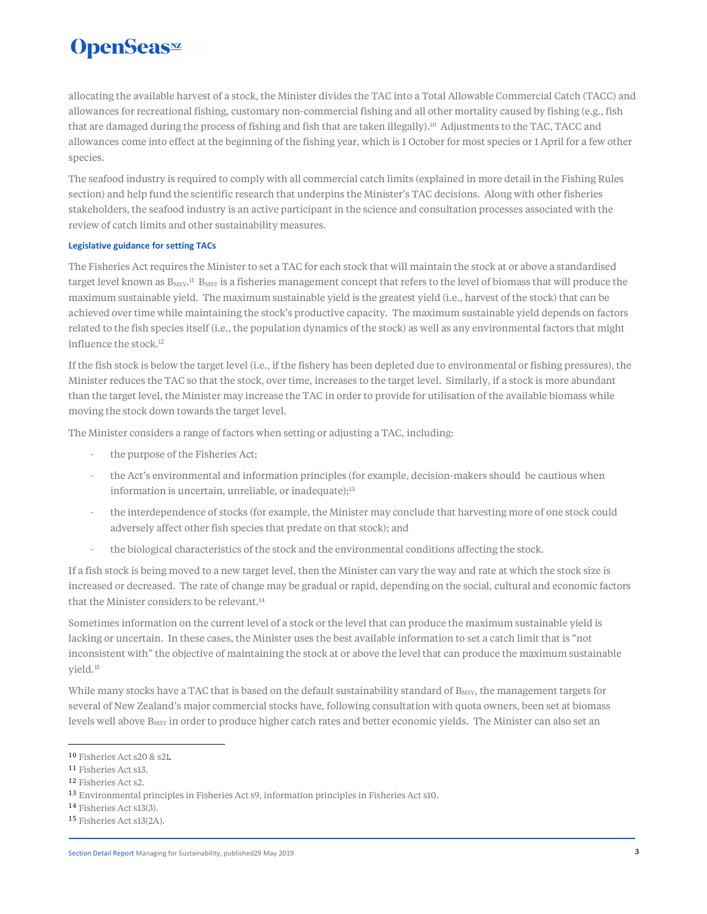## **OpenSeas**<sup>*m*</sup>

allocating the available harvest of a stock, the Minister divides the TAC into a Total Allowable Commercial Catch (TACC) and allowances for recreational fishing, customary non-commercial fishing and all other mortality caused by fishing (e.g., fish that are damaged during the process of fishing and fish that are taken illegally).<sup>10</sup> Adjustments to the TAC, TACC and allowances come into effect at the beginning of the fishing year, which is 1 October for most species or 1 April for a few other species.

The seafood industry is required to comply with all commercial catch limits (explained in more detail in the Fishing Rules section) and help fund the scientific research that underpins the Minister's TAC decisions. Along with other fisheries stakeholders, the seafood industry is an active participant in the science and consultation processes associated with the review of catch limits and other sustainability measures.

#### **Legislative guidance for setting TACs**

The Fisheries Act requires the Minister to set a TAC for each stock that will maintain the stock at or above a standardised target level known as  $B_{\rm MSY}$ .<sup>11</sup>  $B_{\rm MSY}$  is a fisheries management concept that refers to the level of biomass that will produce the maximum sustainable yield. The maximum sustainable yield is the greatest yield (i.e., harvest of the stock) that can be achieved over time while maintaining the stock's productive capacity. The maximum sustainable yield depends on factors related to the fish species itself (i.e., the population dynamics of the stock) as well as any environmental factors that might influence the stock.<sup>12</sup>

If the fish stock is below the target level (i.e., if the fishery has been depleted due to environmental or fishing pressures), the Minister reduces the TAC so that the stock, over time, increases to the target level. Similarly, if a stock is more abundant than the target level, the Minister may increase the TAC in order to provide for utilisation of the available biomass while moving the stock down towards the target level.

The Minister considers a range of factors when setting or adjusting a TAC, including:

- the purpose of the Fisheries Act;
- the Act's environmental and information principles (for example, decision-makers should be cautious when information is uncertain, unreliable, or inadequate); $13$
- the interdependence of stocks (for example, the Minister may conclude that harvesting more of one stock could adversely affect other fish species that predate on that stock); and
- the biological characteristics of the stock and the environmental conditions affecting the stock.

If a fish stock is being moved to a new target level, then the Minister can vary the way and rate at which the stock size is increased or decreased. The rate of change may be gradual or rapid, depending on the social, cultural and economic factors that the Minister considers to be relevant.<sup>14</sup>

Sometimes information on the current level of a stock or the level that can produce the maximum sustainable yield is lacking or uncertain. In these cases, the Minister uses the best available information to set a catch limit that is "not inconsistent with" the objective of maintaining the stock at or above the level that can produce the maximum sustainable yield.<sup>15</sup>

While many stocks have a TAC that is based on the default sustainability standard of B<sub>MSY</sub>, the management targets for several of New Zealand's major commercial stocks have, following consultation with quota owners, been set at biomass levels well above B<sub>MSY</sub> in order to produce higher catch rates and better economic yields. The Minister can also set an

<sup>10</sup> Fisheries Act s20 & s21.

<sup>11</sup> Fisheries Act s13.

<sup>12</sup> Fisheries Act s2.

<sup>13</sup> Environmental principles in Fisheries Act s9, information principles in Fisheries Act s10.

<sup>14</sup> Fisheries Act s13(3).

<sup>15</sup> Fisheries Act s13(2A).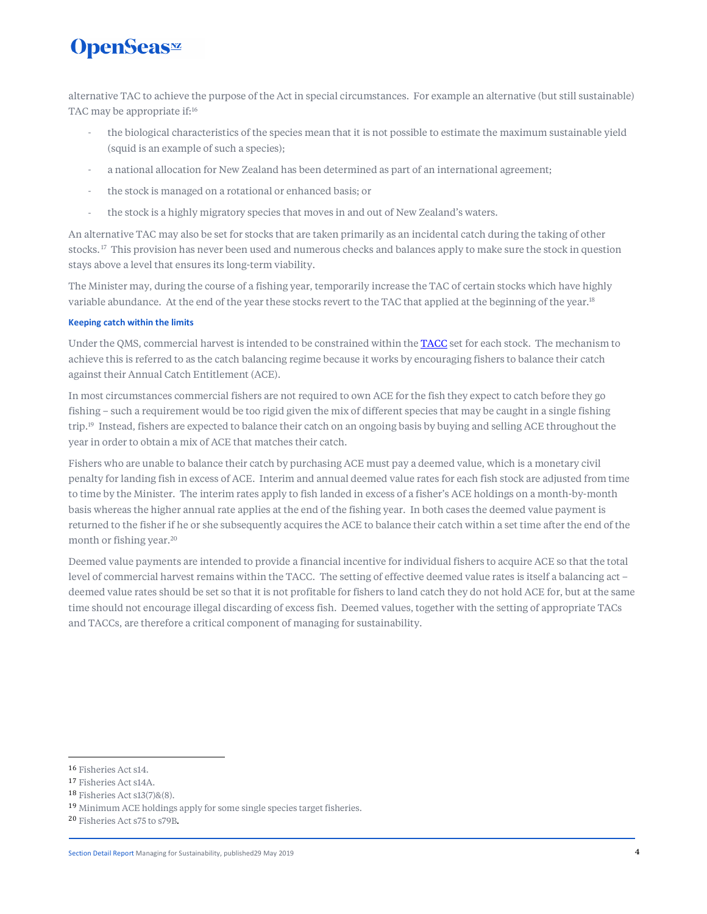alternative TAC to achieve the purpose of the Act in special circumstances. For example an alternative (but still sustainable) TAC may be appropriate if:<sup>16</sup>

- the biological characteristics of the species mean that it is not possible to estimate the maximum sustainable yield (squid is an example of such a species);
- a national allocation for New Zealand has been determined as part of an international agreement;
- the stock is managed on a rotational or enhanced basis; or
- the stock is a highly migratory species that moves in and out of New Zealand's waters.

An alternative TAC may also be set for stocks that are taken primarily as an incidental catch during the taking of other stocks.<sup>17</sup> This provision has never been used and numerous checks and balances apply to make sure the stock in question stays above a level that ensures its long-term viability.

The Minister may, during the course of a fishing year, temporarily increase the TAC of certain stocks which have highly variable abundance. At the end of the year these stocks revert to the TAC that applied at the beginning of the year.<sup>18</sup>

#### **Keeping catch within the limits**

Under the QMS, commercial harvest is intended to be constrained within the TACC set for each stock. The mechanism to achieve this is referred to as the catch balancing regime because it works by encouraging fishers to balance their catch against their Annual Catch Entitlement (ACE).

In most circumstances commercial fishers are not required to own ACE for the fish they expect to catch before they go fishing – such a requirement would be too rigid given the mix of different species that may be caught in a single fishing trip.<sup>19</sup> Instead, fishers are expected to balance their catch on an ongoing basis by buying and selling ACE throughout the year in order to obtain a mix of ACE that matches their catch.

Fishers who are unable to balance their catch by purchasing ACE must pay a deemed value, which is a monetary civil penalty for landing fish in excess of ACE. Interim and annual deemed value rates for each fish stock are adjusted from time to time by the Minister. The interim rates apply to fish landed in excess of a fisher's ACE holdings on a month-by-month basis whereas the higher annual rate applies at the end of the fishing year. In both cases the deemed value payment is returned to the fisher if he or she subsequently acquires the ACE to balance their catch within a set time after the end of the month or fishing year.<sup>20</sup>

Deemed value payments are intended to provide a financial incentive for individual fishers to acquire ACE so that the total level of commercial harvest remains within the TACC. The setting of effective deemed value rates is itself a balancing act – deemed value rates should be set so that it is not profitable for fishers to land catch they do not hold ACE for, but at the same time should not encourage illegal discarding of excess fish. Deemed values, together with the setting of appropriate TACs and TACCs, are therefore a critical component of managing for sustainability.

<sup>16</sup> Fisheries Act s14.

<sup>17</sup> Fisheries Act s14A.

<sup>18</sup> Fisheries Act s13(7)&(8).

<sup>19</sup> Minimum ACE holdings apply for some single species target fisheries.

<sup>20</sup> Fisheries Act s75 to s79B.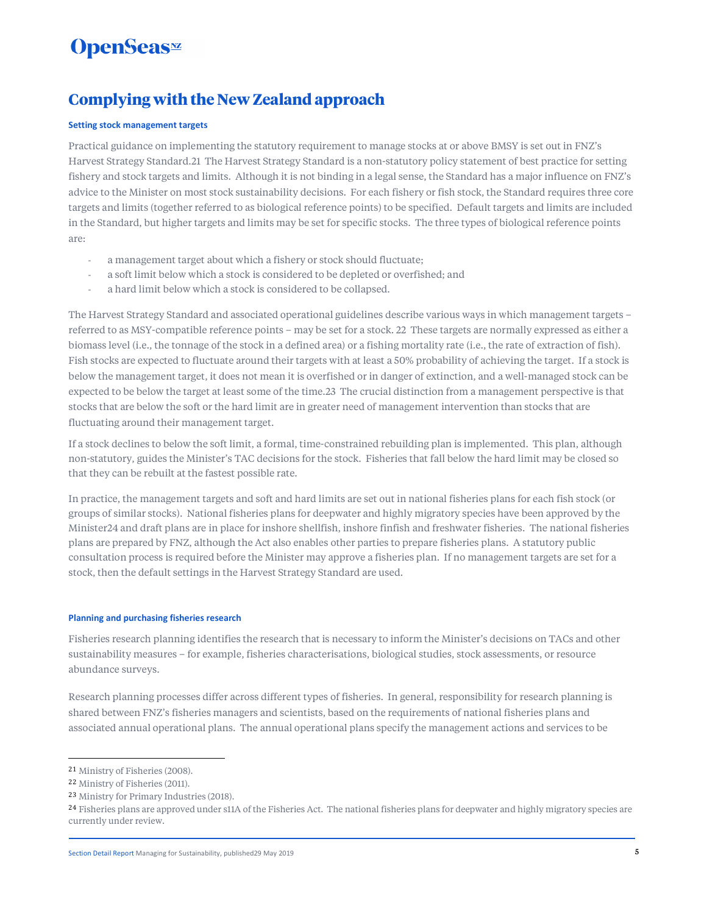# **OpenSeas**<sup>*m*</sup>

### **Complying with the New Zealand approach**

#### **Setting stock management targets**

Practical guidance on implementing the statutory requirement to manage stocks at or above BMSY is set out in FNZ's Harvest Strategy Standard.21 The Harvest Strategy Standard is a non-statutory policy statement of best practice for setting fishery and stock targets and limits. Although it is not binding in a legal sense, the Standard has a major influence on FNZ's advice to the Minister on most stock sustainability decisions. For each fishery or fish stock, the Standard requires three core targets and limits (together referred to as biological reference points) to be specified. Default targets and limits are included in the Standard, but higher targets and limits may be set for specific stocks. The three types of biological reference points are:

- a management target about which a fishery or stock should fluctuate;
- a soft limit below which a stock is considered to be depleted or overfished; and
- a hard limit below which a stock is considered to be collapsed.

The Harvest Strategy Standard and associated operational guidelines describe various ways in which management targets – referred to as MSY-compatible reference points – may be set for a stock. 22 These targets are normally expressed as either a biomass level (i.e., the tonnage of the stock in a defined area) or a fishing mortality rate (i.e., the rate of extraction of fish). Fish stocks are expected to fluctuate around their targets with at least a 50% probability of achieving the target. If a stock is below the management target, it does not mean it is overfished or in danger of extinction, and a well-managed stock can be expected to be below the target at least some of the time.23 The crucial distinction from a management perspective is that stocks that are below the soft or the hard limit are in greater need of management intervention than stocks that are fluctuating around their management target.

If a stock declines to below the soft limit, a formal, time-constrained rebuilding plan is implemented. This plan, although non-statutory, guides the Minister's TAC decisions for the stock. Fisheries that fall below the hard limit may be closed so that they can be rebuilt at the fastest possible rate.

In practice, the management targets and soft and hard limits are set out in national fisheries plans for each fish stock (or groups of similar stocks). National fisheries plans for deepwater and highly migratory species have been approved by the Minister24 and draft plans are in place for inshore shellfish, inshore finfish and freshwater fisheries. The national fisheries plans are prepared by FNZ, although the Act also enables other parties to prepare fisheries plans. A statutory public consultation process is required before the Minister may approve a fisheries plan. If no management targets are set for a stock, then the default settings in the Harvest Strategy Standard are used.

#### **Planning and purchasing fisheries research**

Fisheries research planning identifies the research that is necessary to inform the Minister's decisions on TACs and other sustainability measures – for example, fisheries characterisations, biological studies, stock assessments, or resource abundance surveys.

Research planning processes differ across different types of fisheries. In general, responsibility for research planning is shared between FNZ's fisheries managers and scientists, based on the requirements of national fisheries plans and associated annual operational plans. The annual operational plans specify the management actions and services to be

<sup>21</sup> Ministry of Fisheries (2008).

<sup>22</sup> Ministry of Fisheries (2011).

<sup>23</sup> Ministry for Primary Industries (2018).

<sup>&</sup>lt;sup>24</sup> Fisheries plans are approved under s11A of the Fisheries Act. The national fisheries plans for deepwater and highly migratory species are currently under review.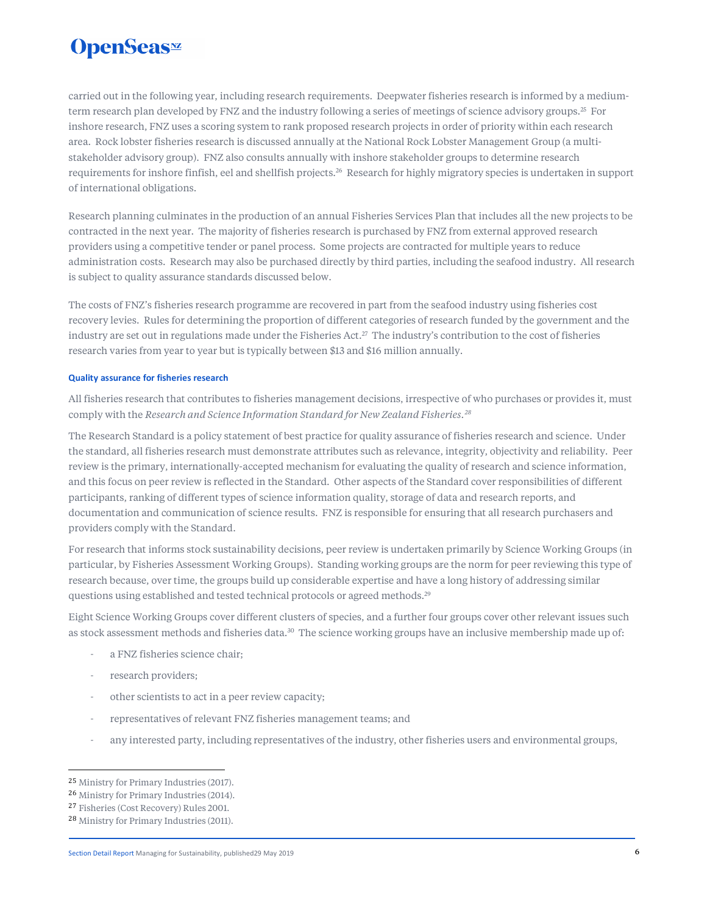carried out in the following year, including research requirements. Deepwater fisheries research is informed by a mediumterm research plan developed by FNZ and the industry following a series of meetings of science advisory groups.<sup>25</sup> For inshore research, FNZ uses a scoring system to rank proposed research projects in order of priority within each research area. Rock lobster fisheries research is discussed annually at the National Rock Lobster Management Group (a multistakeholder advisory group). FNZ also consults annually with inshore stakeholder groups to determine research requirements for inshore finfish, eel and shellfish projects.<sup>26</sup> Research for highly migratory species is undertaken in support of international obligations.

Research planning culminates in the production of an annual Fisheries Services Plan that includes all the new projects to be contracted in the next year. The majority of fisheries research is purchased by FNZ from external approved research providers using a competitive tender or panel process. Some projects are contracted for multiple years to reduce administration costs. Research may also be purchased directly by third parties, including the seafood industry. All research is subject to quality assurance standards discussed below.

The costs of FNZ's fisheries research programme are recovered in part from the seafood industry using fisheries cost recovery levies. Rules for determining the proportion of different categories of research funded by the government and the industry are set out in regulations made under the Fisheries Act.<sup>27</sup> The industry's contribution to the cost of fisheries research varies from year to year but is typically between \$13 and \$16 million annually.

#### **Quality assurance for fisheries research**

All fisheries research that contributes to fisheries management decisions, irrespective of who purchases or provides it, must comply with the *Research and Science Information Standard for New Zealand Fisheries.<sup>28</sup>*

The Research Standard is a policy statement of best practice for quality assurance of fisheries research and science. Under the standard, all fisheries research must demonstrate attributes such as relevance, integrity, objectivity and reliability. Peer review is the primary, internationally-accepted mechanism for evaluating the quality of research and science information, and this focus on peer review is reflected in the Standard. Other aspects of the Standard cover responsibilities of different participants, ranking of different types of science information quality, storage of data and research reports, and documentation and communication of science results. FNZ is responsible for ensuring that all research purchasers and providers comply with the Standard.

For research that informs stock sustainability decisions, peer review is undertaken primarily by Science Working Groups (in particular, by Fisheries Assessment Working Groups). Standing working groups are the norm for peer reviewing this type of research because, over time, the groups build up considerable expertise and have a long history of addressing similar questions using established and tested technical protocols or agreed methods.<sup>29</sup>

Eight Science Working Groups cover different clusters of species, and a further four groups cover other relevant issues such as stock assessment methods and fisheries data.<sup>30</sup> The science working groups have an inclusive membership made up of:

- a FNZ fisheries science chair;
- research providers;
- other scientists to act in a peer review capacity;
- representatives of relevant FNZ fisheries management teams; and
- any interested party, including representatives of the industry, other fisheries users and environmental groups,

<sup>25</sup> Ministry for Primary Industries (2017).

<sup>26</sup> Ministry for Primary Industries (2014).

<sup>27</sup> Fisheries (Cost Recovery) Rules 2001.

<sup>28</sup> Ministry for Primary Industries (2011).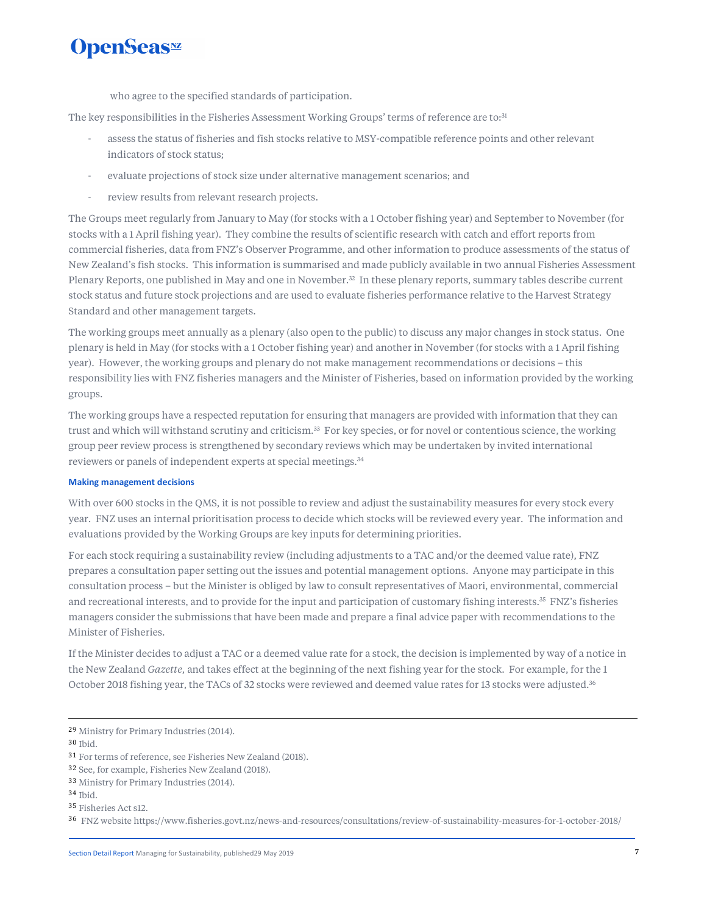who agree to the specified standards of participation.

The key responsibilities in the Fisheries Assessment Working Groups' terms of reference are to:<sup>31</sup>

- assess the status of fisheries and fish stocks relative to MSY-compatible reference points and other relevant indicators of stock status;
- evaluate projections of stock size under alternative management scenarios; and
- review results from relevant research projects.

The Groups meet regularly from January to May (for stocks with a 1 October fishing year) and September to November (for stocks with a 1 April fishing year). They combine the results of scientific research with catch and effort reports from commercial fisheries, data from FNZ's Observer Programme, and other information to produce assessments of the status of New Zealand's fish stocks. This information is summarised and made publicly available in two annual Fisheries Assessment Plenary Reports, one published in May and one in November.<sup>32</sup> In these plenary reports, summary tables describe current stock status and future stock projections and are used to evaluate fisheries performance relative to the Harvest Strategy Standard and other management targets.

The working groups meet annually as a plenary (also open to the public) to discuss any major changes in stock status. One plenary is held in May (for stocks with a 1 October fishing year) and another in November (for stocks with a 1 April fishing year). However, the working groups and plenary do not make management recommendations or decisions – this responsibility lies with FNZ fisheries managers and the Minister of Fisheries, based on information provided by the working groups.

The working groups have a respected reputation for ensuring that managers are provided with information that they can trust and which will withstand scrutiny and criticism.<sup>33</sup> For key species, or for novel or contentious science, the working group peer review process is strengthened by secondary reviews which may be undertaken by invited international reviewers or panels of independent experts at special meetings.<sup>34</sup>

#### **Making management decisions**

With over 600 stocks in the QMS, it is not possible to review and adjust the sustainability measures for every stock every year. FNZ uses an internal prioritisation process to decide which stocks will be reviewed every year. The information and evaluations provided by the Working Groups are key inputs for determining priorities.

For each stock requiring a sustainability review (including adjustments to a TAC and/or the deemed value rate), FNZ prepares a consultation paper setting out the issues and potential management options. Anyone may participate in this consultation process – but the Minister is obliged by law to consult representatives of Maori, environmental, commercial and recreational interests, and to provide for the input and participation of customary fishing interests.<sup>35</sup> FNZ's fisheries managers consider the submissions that have been made and prepare a final advice paper with recommendations to the Minister of Fisheries.

If the Minister decides to adjust a TAC or a deemed value rate for a stock, the decision is implemented by way of a notice in the New Zealand *Gazette*, and takes effect at the beginning of the next fishing year for the stock. For example, for the 1 October 2018 fishing year, the TACs of 32 stocks were reviewed and deemed value rates for 13 stocks were adjusted.<sup>36</sup>

<sup>29</sup> Ministry for Primary Industries (2014).

<sup>30</sup> Ibid.

<sup>31</sup> For terms of reference, see Fisheries New Zealand (2018).

<sup>32</sup> See, for example, Fisheries New Zealand (2018).

<sup>33</sup> Ministry for Primary Industries (2014).

<sup>34</sup> Ibid.

<sup>35</sup> Fisheries Act s12.

<sup>36</sup> FNZ website https://www.fisheries.govt.nz/news-and-resources/consultations/review-of-sustainability-measures-for-1-october-2018/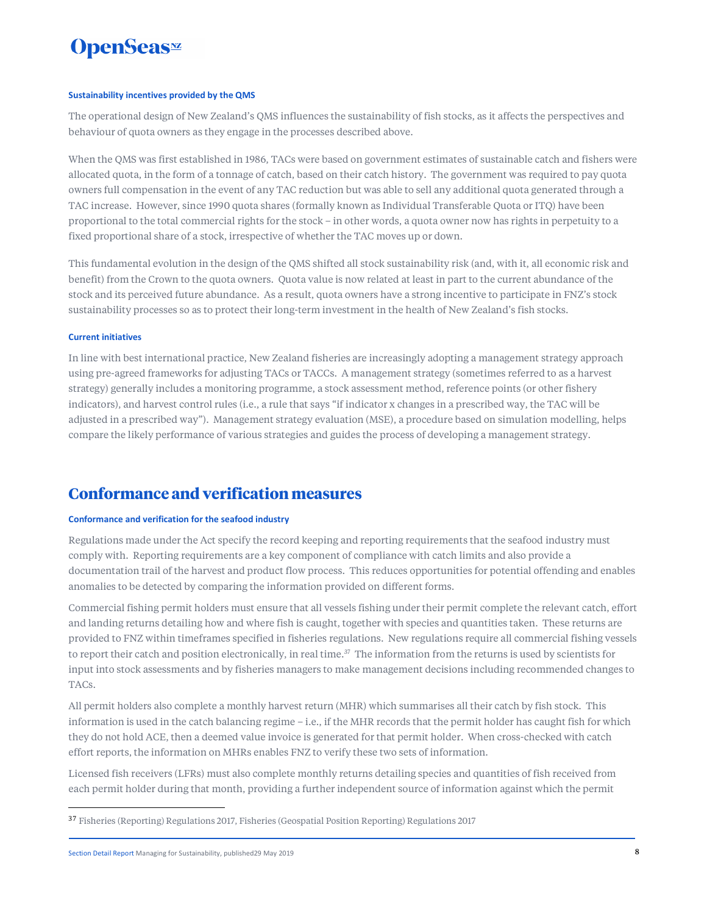#### **Sustainability incentives provided by the QMS**

The operational design of New Zealand's QMS influences the sustainability of fish stocks, as it affects the perspectives and behaviour of quota owners as they engage in the processes described above.

When the QMS was first established in 1986, TACs were based on government estimates of sustainable catch and fishers were allocated quota, in the form of a tonnage of catch, based on their catch history. The government was required to pay quota owners full compensation in the event of any TAC reduction but was able to sell any additional quota generated through a TAC increase. However, since 1990 quota shares (formally known as Individual Transferable Quota or ITQ) have been proportional to the total commercial rights for the stock – in other words, a quota owner now has rights in perpetuity to a fixed proportional share of a stock, irrespective of whether the TAC moves up or down.

This fundamental evolution in the design of the QMS shifted all stock sustainability risk (and, with it, all economic risk and benefit) from the Crown to the quota owners. Quota value is now related at least in part to the current abundance of the stock and its perceived future abundance. As a result, quota owners have a strong incentive to participate in FNZ's stock sustainability processes so as to protect their long-term investment in the health of New Zealand's fish stocks.

#### **Current initiatives**

In line with best international practice, New Zealand fisheries are increasingly adopting a management strategy approach using pre-agreed frameworks for adjusting TACs or TACCs. A management strategy (sometimes referred to as a harvest strategy) generally includes a monitoring programme, a stock assessment method, reference points (or other fishery indicators), and harvest control rules (i.e., a rule that says "if indicator x changes in a prescribed way, the TAC will be adjusted in a prescribed way"). Management strategy evaluation (MSE), a procedure based on simulation modelling, helps compare the likely performance of various strategies and guides the process of developing a management strategy.

### **Conformance and verification measures**

#### **Conformance and verification for the seafood industry**

Regulations made under the Act specify the record keeping and reporting requirements that the seafood industry must comply with. Reporting requirements are a key component of compliance with catch limits and also provide a documentation trail of the harvest and product flow process. This reduces opportunities for potential offending and enables anomalies to be detected by comparing the information provided on different forms.

Commercial fishing permit holders must ensure that all vessels fishing under their permit complete the relevant catch, effort and landing returns detailing how and where fish is caught, together with species and quantities taken. These returns are provided to FNZ within timeframes specified in fisheries regulations. New regulations require all commercial fishing vessels to report their catch and position electronically, in real time.<sup>37</sup> The information from the returns is used by scientists for input into stock assessments and by fisheries managers to make management decisions including recommended changes to TACs.

All permit holders also complete a monthly harvest return (MHR) which summarises all their catch by fish stock. This information is used in the catch balancing regime – i.e., if the MHR records that the permit holder has caught fish for which they do not hold ACE, then a deemed value invoice is generated for that permit holder. When cross-checked with catch effort reports, the information on MHRs enables FNZ to verify these two sets of information.

Licensed fish receivers (LFRs) must also complete monthly returns detailing species and quantities of fish received from each permit holder during that month, providing a further independent source of information against which the permit

<sup>37</sup> Fisheries (Reporting) Regulations 2017, Fisheries (Geospatial Position Reporting) Regulations 2017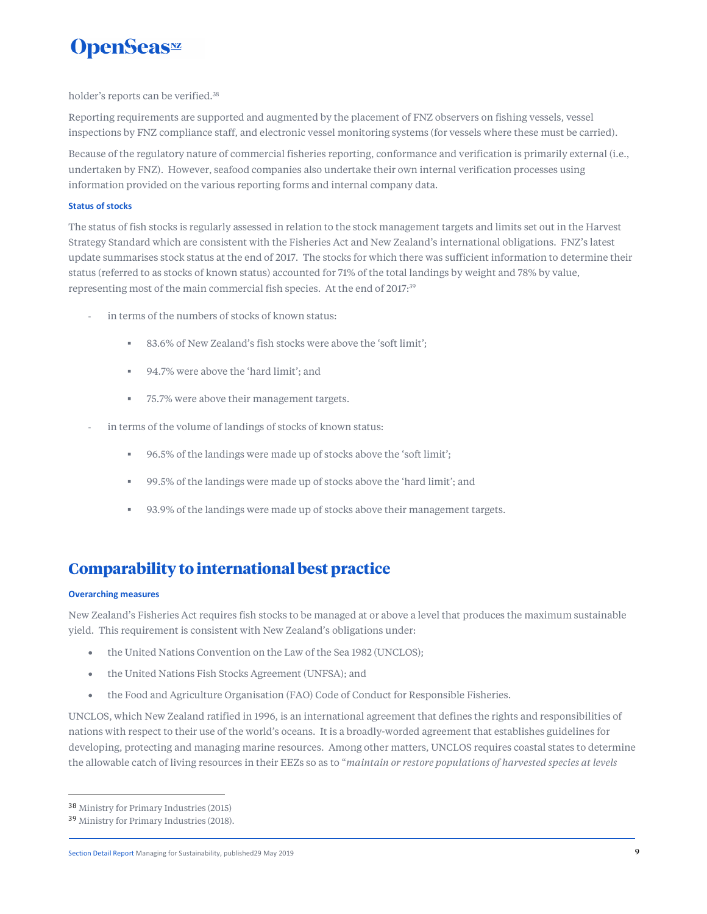holder's reports can be verified.<sup>38</sup>

Reporting requirements are supported and augmented by the placement of FNZ observers on fishing vessels, vessel inspections by FNZ compliance staff, and electronic vessel monitoring systems (for vessels where these must be carried).

Because of the regulatory nature of commercial fisheries reporting, conformance and verification is primarily external (i.e., undertaken by FNZ). However, seafood companies also undertake their own internal verification processes using information provided on the various reporting forms and internal company data.

#### **Status of stocks**

The status of fish stocks is regularly assessed in relation to the stock management targets and limits set out in the Harvest Strategy Standard which are consistent with the Fisheries Act and New Zealand's international obligations. FNZ's latest update summarises stock status at the end of 2017. The stocks for which there was sufficient information to determine their status (referred to as stocks of known status) accounted for 71% of the total landings by weight and 78% by value, representing most of the main commercial fish species. At the end of 2017:<sup>39</sup>

- in terms of the numbers of stocks of known status:
	- 83.6% of New Zealand's fish stocks were above the 'soft limit';
	- 94.7% were above the 'hard limit': and
	- 75.7% were above their management targets.
- in terms of the volume of landings of stocks of known status:
	- 96.5% of the landings were made up of stocks above the 'soft limit';
	- 99.5% of the landings were made up of stocks above the 'hard limit'; and
	- 93.9% of the landings were made up of stocks above their management targets.

### **Comparability to international best practice**

#### **Overarching measures**

New Zealand's Fisheries Act requires fish stocks to be managed at or above a level that produces the maximum sustainable yield. This requirement is consistent with New Zealand's obligations under:

- the United Nations Convention on the Law of the Sea 1982 (UNCLOS);
- the United Nations Fish Stocks Agreement (UNFSA); and
- the Food and Agriculture Organisation (FAO) Code of Conduct for Responsible Fisheries.

UNCLOS, which New Zealand ratified in 1996, is an international agreement that defines the rights and responsibilities of nations with respect to their use of the world's oceans. It is a broadly-worded agreement that establishes guidelines for developing, protecting and managing marine resources. Among other matters, UNCLOS requires coastal states to determine the allowable catch of living resources in their EEZs so as to "*maintain or restore populations of harvested species at levels* 

<sup>38</sup> Ministry for Primary Industries (2015)

<sup>39</sup> Ministry for Primary Industries (2018).

Section Detail Report Managing for Sustainability, published29 May 2019 **9**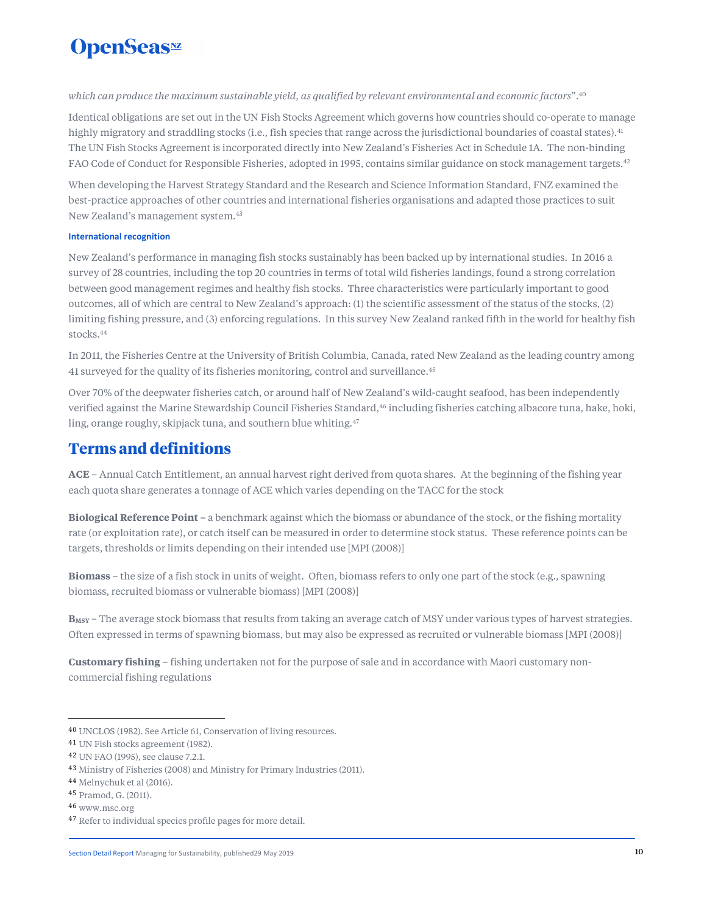#### *which can produce the maximum sustainable yield, as qualified by relevant environmental and economic factors*".<sup>40</sup>

Identical obligations are set out in the UN Fish Stocks Agreement which governs how countries should co-operate to manage highly migratory and straddling stocks (i.e., fish species that range across the jurisdictional boundaries of coastal states).<sup>41</sup> The UN Fish Stocks Agreement is incorporated directly into New Zealand's Fisheries Act in Schedule 1A. The non-binding FAO Code of Conduct for Responsible Fisheries, adopted in 1995, contains similar guidance on stock management targets.<sup>42</sup>

When developing the Harvest Strategy Standard and the Research and Science Information Standard, FNZ examined the best-practice approaches of other countries and international fisheries organisations and adapted those practices to suit New Zealand's management system.<sup>43</sup>

#### **International recognition**

New Zealand's performance in managing fish stocks sustainably has been backed up by international studies. In 2016 a survey of 28 countries, including the top 20 countries in terms of total wild fisheries landings, found a strong correlation between good management regimes and healthy fish stocks. Three characteristics were particularly important to good outcomes, all of which are central to New Zealand's approach: (1) the scientific assessment of the status of the stocks, (2) limiting fishing pressure, and (3) enforcing regulations. In this survey New Zealand ranked fifth in the world for healthy fish stocks.<sup>44</sup>

In 2011, the Fisheries Centre at the University of British Columbia, Canada, rated New Zealand as the leading country among 41 surveyed for the quality of its fisheries monitoring, control and surveillance.<sup>45</sup>

Over 70% of the deepwater fisheries catch, or around half of New Zealand's wild-caught seafood, has been independently verified against the Marine Stewardship Council Fisheries Standard,<sup>46</sup> including fisheries catching albacore tuna, hake, hoki, ling, orange roughy, skipjack tuna, and southern blue whiting.<sup>47</sup>

### **Terms and definitions**

**ACE** – Annual Catch Entitlement, an annual harvest right derived from quota shares. At the beginning of the fishing year each quota share generates a tonnage of ACE which varies depending on the TACC for the stock

**Biological Reference Point –** a benchmark against which the biomass or abundance of the stock, or the fishing mortality rate (or exploitation rate), or catch itself can be measured in order to determine stock status. These reference points can be targets, thresholds or limits depending on their intended use [MPI (2008)]

**Biomass** – the size of a fish stock in units of weight. Often, biomass refers to only one part of the stock (e.g., spawning biomass, recruited biomass or vulnerable biomass) [MPI (2008)]

**B<sub>MSY</sub>** – The average stock biomass that results from taking an average catch of MSY under various types of harvest strategies. Often expressed in terms of spawning biomass, but may also be expressed as recruited or vulnerable biomass [MPI (2008)]

**Customary fishing** – fishing undertaken not for the purpose of sale and in accordance with Maori customary noncommercial fishing regulations

<sup>40</sup> UNCLOS (1982). See Article 61, Conservation of living resources.

<sup>41</sup> UN Fish stocks agreement (1982).

<sup>42</sup> UN FAO (1995), see clause 7.2.1.

<sup>43</sup> Ministry of Fisheries (2008) and Ministry for Primary Industries (2011).

<sup>44</sup> Melnychuk et al (2016).

<sup>45</sup> Pramod, G. (2011).

<sup>46</sup> www.msc.org

<sup>47</sup> Refer to individual species profile pages for more detail.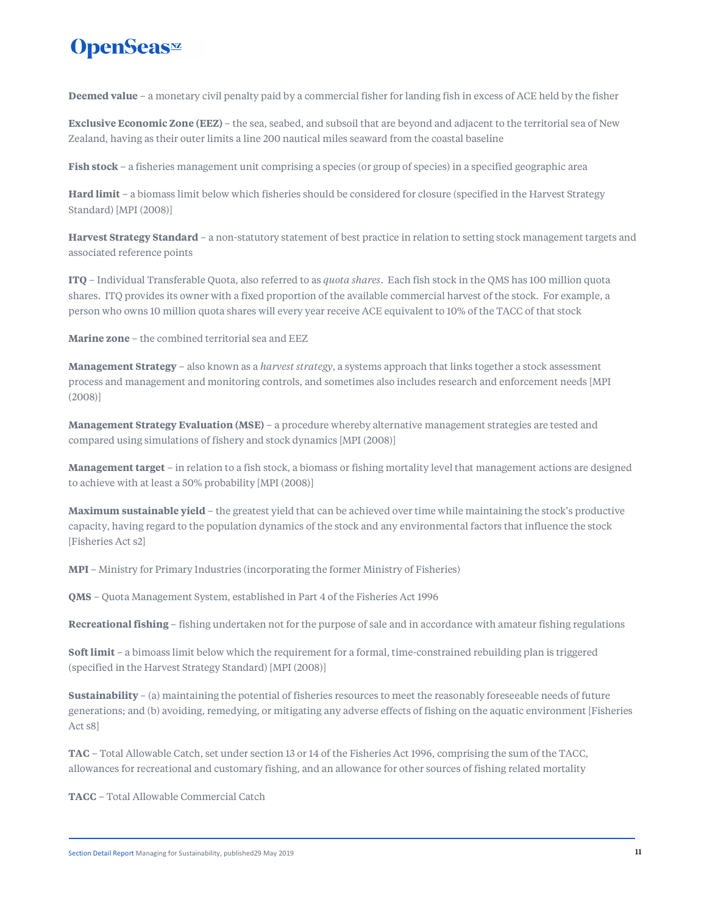# **OpenSeas**<sup>*m*</sup>

**Deemed value** – a monetary civil penalty paid by a commercial fisher for landing fish in excess of ACE held by the fisher

**Exclusive Economic Zone (EEZ)** – the sea, seabed, and subsoil that are beyond and adjacent to the territorial sea of New Zealand, having as their outer limits a line 200 nautical miles seaward from the coastal baseline

**Fish stock** – a fisheries management unit comprising a species (or group of species) in a specified geographic area

**Hard limit** – a biomass limit below which fisheries should be considered for closure (specified in the Harvest Strategy Standard) [MPI (2008)]

**Harvest Strategy Standard** – a non-statutory statement of best practice in relation to setting stock management targets and associated reference points

**ITQ** – Individual Transferable Quota, also referred to as *quota shares*. Each fish stock in the QMS has 100 million quota shares. ITQ provides its owner with a fixed proportion of the available commercial harvest of the stock. For example, a person who owns 10 million quota shares will every year receive ACE equivalent to 10% of the TACC of that stock

**Marine zone** – the combined territorial sea and EEZ

**Management Strategy** – also known as a *harvest strategy*, a systems approach that links together a stock assessment process and management and monitoring controls, and sometimes also includes research and enforcement needs [MPI (2008)]

**Management Strategy Evaluation (MSE)** – a procedure whereby alternative management strategies are tested and compared using simulations of fishery and stock dynamics [MPI (2008)]

**Management target** – in relation to a fish stock, a biomass or fishing mortality level that management actions are designed to achieve with at least a 50% probability [MPI (2008)]

**Maximum sustainable yield** – the greatest yield that can be achieved over time while maintaining the stock's productive capacity, having regard to the population dynamics of the stock and any environmental factors that influence the stock [Fisheries Act s2]

**MPI** – Ministry for Primary Industries (incorporating the former Ministry of Fisheries)

**QMS** – Quota Management System, established in Part 4 of the Fisheries Act 1996

**Recreational fishing** – fishing undertaken not for the purpose of sale and in accordance with amateur fishing regulations

**Soft limit** – a bimoass limit below which the requirement for a formal, time-constrained rebuilding plan is triggered (specified in the Harvest Strategy Standard) [MPI (2008)]

**Sustainability** – (a) maintaining the potential of fisheries resources to meet the reasonably foreseeable needs of future generations; and (b) avoiding, remedying, or mitigating any adverse effects of fishing on the aquatic environment [Fisheries Act s8]

**TAC** – Total Allowable Catch, set under section 13 or 14 of the Fisheries Act 1996, comprising the sum of the TACC, allowances for recreational and customary fishing, and an allowance for other sources of fishing related mortality

**TACC** – Total Allowable Commercial Catch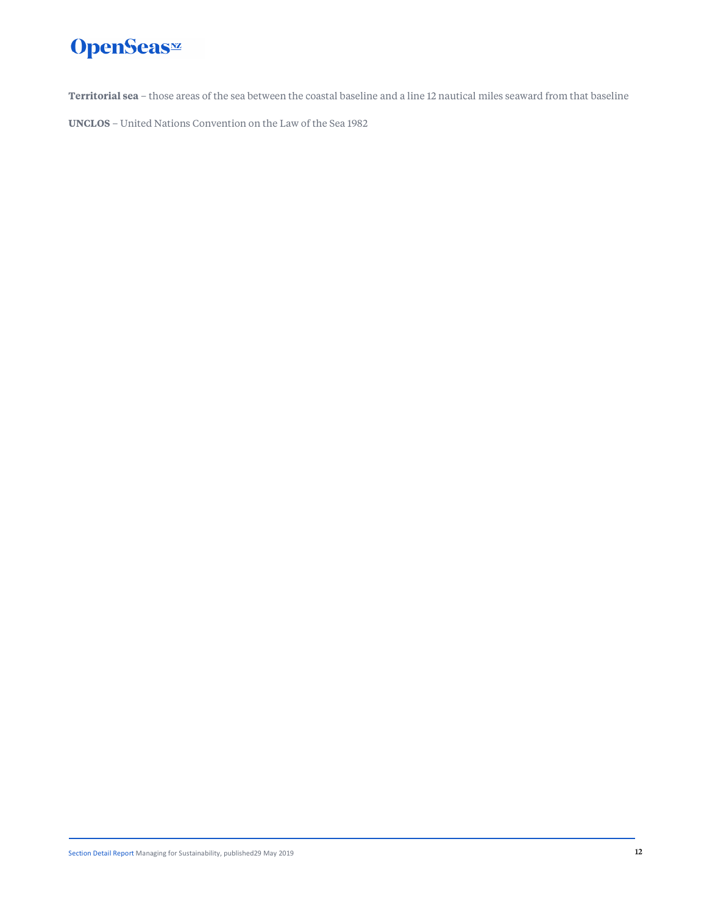**Territorial sea** – those areas of the sea between the coastal baseline and a line 12 nautical miles seaward from that baseline

**UNCLOS** – United Nations Convention on the Law of the Sea 1982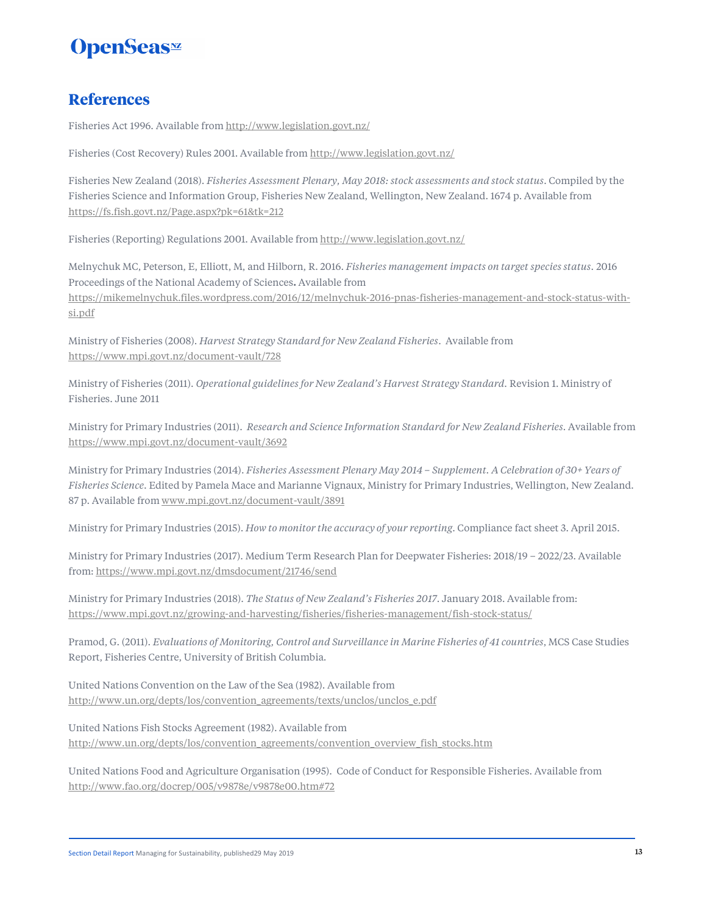### **References**

Fisheries Act 1996. Available from http://www.legislation.govt.nz/

Fisheries (Cost Recovery) Rules 2001. Available from http://www.legislation.govt.nz/

Fisheries New Zealand (2018). *Fisheries Assessment Plenary, May 2018: stock assessments and stock status*. Compiled by the Fisheries Science and Information Group, Fisheries New Zealand, Wellington, New Zealand. 1674 p. Available from https://fs.fish.govt.nz/Page.aspx?pk=61&tk=212

Fisheries (Reporting) Regulations 2001. Available from http://www.legislation.govt.nz/

Melnychuk MC, Peterson, E, Elliott, M, and Hilborn, R. 2016. *Fisheries management impacts on target species status.* 2016 Proceedings of the National Academy of Sciences**.** Available from https://mikemelnychuk.files.wordpress.com/2016/12/melnychuk-2016-pnas-fisheries-management-and-stock-status-withsi.pdf

Ministry of Fisheries (2008). *Harvest Strategy Standard for New Zealand Fisheries*. Available from https://www.mpi.govt.nz/document-vault/728

Ministry of Fisheries (2011). *Operational guidelines for New Zealand's Harvest Strategy Standard.* Revision 1. Ministry of Fisheries. June 2011

Ministry for Primary Industries (2011). *Research and Science Information Standard for New Zealand Fisheries*. Available from https://www.mpi.govt.nz/document-vault/3692

Ministry for Primary Industries (2014). *Fisheries Assessment Plenary May 2014 – Supplement. A Celebration of 30+ Years of Fisheries Science.* Edited by Pamela Mace and Marianne Vignaux, Ministry for Primary Industries, Wellington, New Zealand. 87 p. Available from www.mpi.govt.nz/document-vault/3891

Ministry for Primary Industries (2015). *How to monitor the accuracy of your reporting*. Compliance fact sheet 3. April 2015.

Ministry for Primary Industries (2017). Medium Term Research Plan for Deepwater Fisheries: 2018/19 – 2022/23. Available from: https://www.mpi.govt.nz/dmsdocument/21746/send

Ministry for Primary Industries (2018). *The Status of New Zealand's Fisheries 2017*. January 2018. Available from: https://www.mpi.govt.nz/growing-and-harvesting/fisheries/fisheries-management/fish-stock-status/

Pramod, G. (2011). *Evaluations of Monitoring, Control and Surveillance in Marine Fisheries of 41 countries*, MCS Case Studies Report, Fisheries Centre, University of British Columbia.

United Nations Convention on the Law of the Sea (1982). Available from http://www.un.org/depts/los/convention\_agreements/texts/unclos/unclos\_e.pdf

United Nations Fish Stocks Agreement (1982). Available from http://www.un.org/depts/los/convention\_agreements/convention\_overview\_fish\_stocks.htm

United Nations Food and Agriculture Organisation (1995). Code of Conduct for Responsible Fisheries. Available from http://www.fao.org/docrep/005/v9878e/v9878e00.htm#72